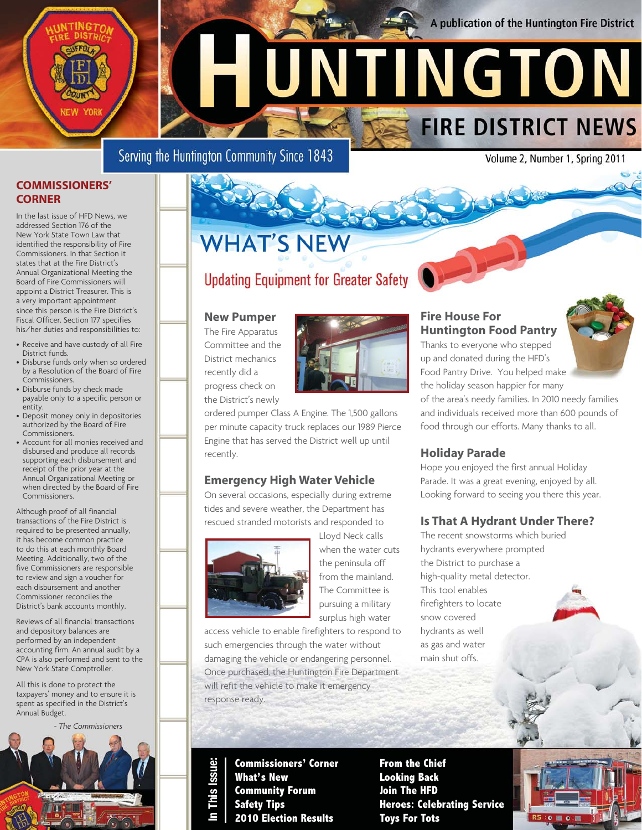#### A publication of the Huntington Fire District

**FIRE DISTRICT NEWS** 

Serving the Huntington Community Since 1843

Volume 2, Number 1, Spring 2011

#### **COMMISSIONERS' CORNER**

NEW YOR

In the last issue of HFD News, we addressed Section 176 of the New York State Town Law that identified the responsibility of Fire Commissioners. In that Section it states that at the Fire District's Annual Organizational Meeting the Board of Fire Commissioners will appoint a District Treasurer. This is a very important appointment since this person is the Fire District's Fiscal Officer. Section 177 specifies his/her duties and responsibilities to:

- Receive and have custody of all Fire District funds.
- Disburse funds only when so ordered by a Resolution of the Board of Fire Commissioners.
- Disburse funds by check made payable only to a specific person or entity.
- Deposit money only in depositories authorized by the Board of Fire Commissioners.
- Account for all monies received and disbursed and produce all records supporting each disbursement and receipt of the prior year at the Annual Organizational Meeting or when directed by the Board of Fire Commissioners.

Although proof of all financial transactions of the Fire District is required to be presented annually, it has become common practice to do this at each monthly Board Meeting. Additionally, two of the five Commissioners are responsible to review and sign a voucher for each disbursement and another Commissioner reconciles the District's bank accounts monthly.

Reviews of all financial transactions and depository balances are performed by an independent accounting firm. An annual audit by a CPA is also performed and sent to the New York State Comptroller.

All this is done to protect the taxpayers' money and to ensure it is spent as specified in the District's Annual Budget.



## **WHAT'S NEW**

### **Updating Equipment for Greater Safety**

#### **New Pumper**

The Fire Apparatus Committee and the District mechanics recently did a progress check on the District's newly



#### **Emergency High Water Vehicle**

On several occasions, especially during extreme tides and severe weather, the Department has rescued stranded motorists and responded to



Lloyd Neck calls when the water cuts the peninsula off from the mainland. The Committee is pursuing a military surplus high water

access vehicle to enable firefighters to respond to such emergencies through the water without damaging the vehicle or endangering personnel. Once purchased, the Huntington Fire Department will refit the vehicle to make it emergency response ready.

**Commissioners' Corner What's New Community Forum Safety Tips 2010 Election Results**

**In This Issue:**

**SSUE** 

**From the Chief Looking Back Join The HFD Heroes: Celebrating Service Toys For Tots**



the holiday season happier for many of the area's needy families. In 2010 needy families and individuals received more than 600 pounds of food through our efforts. Many thanks to all.

Food Pantry Drive. You helped make

#### **Holiday Parade**

HUNTINGTON

Hope you enjoyed the first annual Holiday Parade. It was a great evening, enjoyed by all. Looking forward to seeing you there this year.

#### **Is That A Hydrant Under There?**

The recent snowstorms which buried hydrants everywhere prompted the District to purchase a high-quality metal detector. This tool enables firefighters to locate snow covered hydrants as well as gas and water main shut offs.

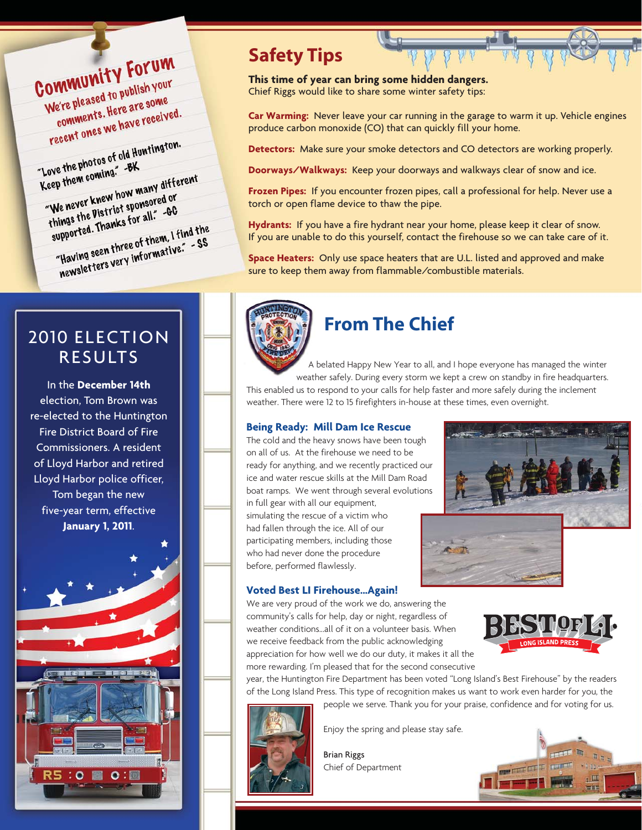Community Forum OMMUNITY FURNISH YOUR le're pleased to publish there are some<br>comments. Here are some<br>comments. We have receive ve're pleases. Here are some<br>comments. Here are some<br>recent ones we have received.

recent once<br>"Love the photos of old Huntington.<br>"Love the photos of old Huntington. "Love the photos of our "<br>Keep them coming." -BK Love the *n* coming.<br>
Keep them coming.<br>
"We never knew how many different<br>
"We never knew how many different" "We never knew how many and or<br>"We never knew how many are<br>things the Vistrict sponsored or We never knew sponsored or<br>things the Vistrict sponsored or<br>supported. Thanks for all. 40 hings the Thanks for and<br>supported. Thanks for and I find the<br>"Having seen three of them. I find the<br>"Having seen three yery informative." upported.<br>"Having seen three of them. I find the<br>mewsletters very informative." - SS

### 2010 ELECTION RESULTS

In the **December 14th** election, Tom Brown was re-elected to the Huntington Fire District Board of Fire Commissioners. A resident of Lloyd Harbor and retired Lloyd Harbor police officer, Tom began the new five-year term, effective **January 1, 2011**.



### **Safety Tips**

**This time of year can bring some hidden dangers.**  Chief Riggs would like to share some winter safety tips:

**Car Warming:** Never leave your car running in the garage to warm it up. Vehicle engines produce carbon monoxide (CO) that can quickly fill your home.

**Detectors:** Make sure your smoke detectors and CO detectors are working properly.

**Doorways/Walkways:** Keep your doorways and walkways clear of snow and ice.

**Frozen Pipes:** If you encounter frozen pipes, call a professional for help. Never use a torch or open flame device to thaw the pipe.

**Hydrants:** If you have a fire hydrant near your home, please keep it clear of snow. If you are unable to do this yourself, contact the firehouse so we can take care of it.

**Space Heaters:** Only use space heaters that are U.L. listed and approved and make sure to keep them away from flammable/combustible materials.



### **From The Chief**

A belated Happy New Year to all, and I hope everyone has managed the winter weather safely. During every storm we kept a crew on standby in fire headquarters. This enabled us to respond to your calls for help faster and more safely during the inclement

weather. There were 12 to 15 firefighters in-house at these times, even overnight.

#### **Being Ready: Mill Dam Ice Rescue**

The cold and the heavy snows have been tough on all of us. At the firehouse we need to be ready for anything, and we recently practiced our ice and water rescue skills at the Mill Dam Road boat ramps. We went through several evolutions in full gear with all our equipment, simulating the rescue of a victim who had fallen through the ice. All of our

participating members, including those who had never done the procedure before, performed flawlessly.

#### **Voted Best LI Firehouse...Again!**

We are very proud of the work we do, answering the community's calls for help, day or night, regardless of weather conditions...all of it on a volunteer basis. When we receive feedback from the public acknowledging appreciation for how well we do our duty, it makes it all the more rewarding. I'm pleased that for the second consecutive



year, the Huntington Fire Department has been voted "Long Island's Best Firehouse" by the readers of the Long Island Press. This type of recognition makes us want to work even harder for you, the people we serve. Thank you for your praise, confidence and for voting for us.



Enjoy the spring and please stay safe.

Brian Riggs Chief of Department

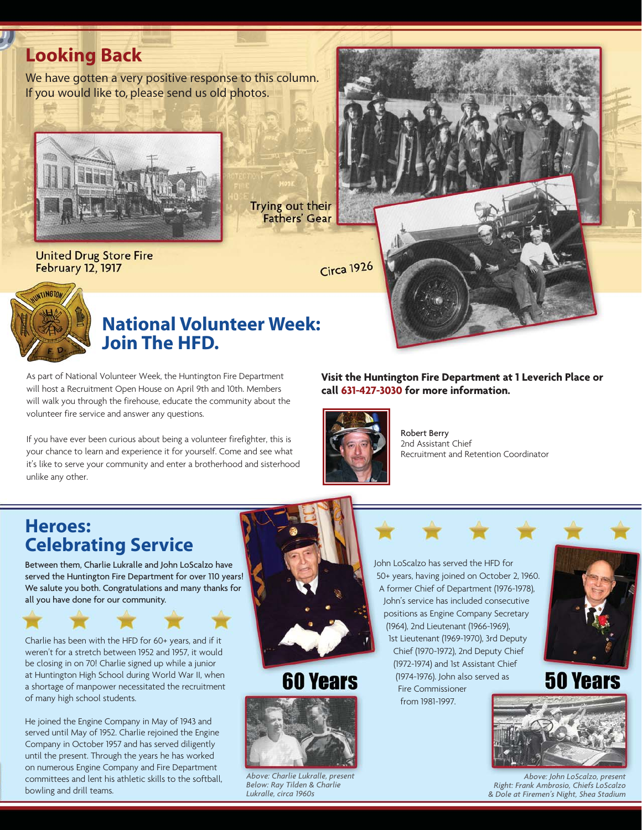### **Looking Back**

We have gotten a very positive response to this column. If you would like to, please send us old photos.



Trying out their **Fathers' Gear** 

**United Drug Store Fire February 12, 1917** 

Circa 1926



### **National Volunteer Week: Join The HFD.**

As part of National Volunteer Week, the Huntington Fire Department will host a Recruitment Open House on April 9th and 10th. Members will walk you through the firehouse, educate the community about the volunteer fire service and answer any questions.

If you have ever been curious about being a volunteer firefighter, this is your chance to learn and experience it for yourself. Come and see what it's like to serve your community and enter a brotherhood and sisterhood unlike any other.



#### **Visit the Huntington Fire Department at 1 Leverich Place or call 631-427-3030 for more information.**



Robert Berry 2nd Assistant Chief Recruitment and Retention Coordinator

### **Heroes: Celebrating Service**

Between them, Charlie Lukralle and John LoScalzo have served the Huntington Fire Department for over 110 years! We salute you both. Congratulations and many thanks for all you have done for our community.



Charlie has been with the HFD for 60+ years, and if it weren't for a stretch between 1952 and 1957, it would be closing in on 70! Charlie signed up while a junior at Huntington High School during World War II, when a shortage of manpower necessitated the recruitment of many high school students.

He joined the Engine Company in May of 1943 and served until May of 1952. Charlie rejoined the Engine Company in October 1957 and has served diligently until the present. Through the years he has worked on numerous Engine Company and Fire Department committees and lent his athletic skills to the softball, bowling and drill teams.



### **60 Years**



*Above: Charlie Lukralle, present Below: Ray Tilden & Charlie Lukralle, circa 1960s*

John LoScalzo has served the HFD for 50+ years, having joined on October 2, 1960. A former Chief of Department (1976-1978), John's service has included consecutive positions as Engine Company Secretary (1964), 2nd Lieutenant (1966-1969), 1st Lieutenant (1969-1970), 3rd Deputy Chief (1970-1972), 2nd Deputy Chief (1972-1974) and 1st Assistant Chief (1974-1976). John also served as Fire Commissioner from 1981-1997.



### **50 Years**



*Above: John LoScalzo, present Right: Frank Ambrosio, Chiefs LoScalzo & Dole at Firemen's Night, Shea Stadium*